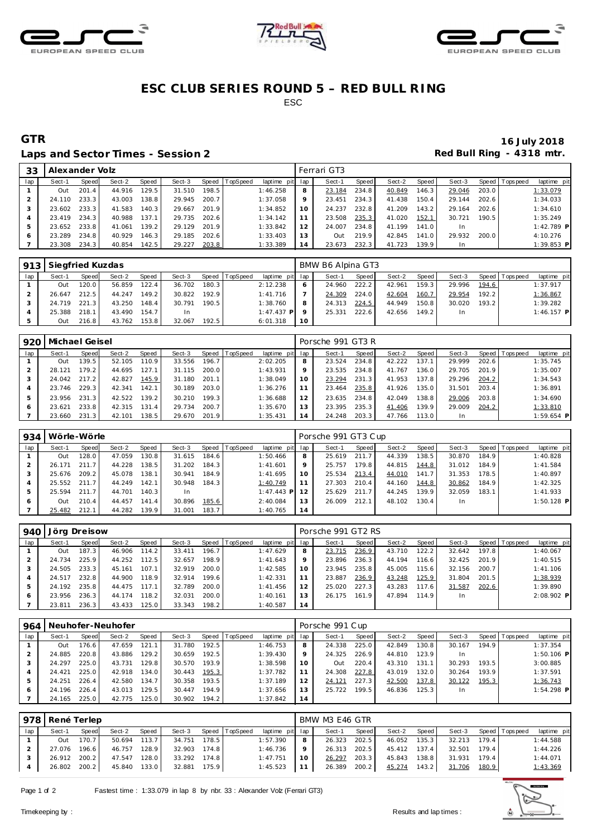





### **ESC CLUB SERIES ROUND 5 – RED BULL RING** ESC

#### Laps and Sector Times - Session 2 **Red Bull Ring - 4318 mtr.**

# **GTR 16 July 2018**

| 33  | Alexander Volz |       |        |       |        |       |                |                 |    | Ferrari GT3 |       |        |       |           |       |                |             |
|-----|----------------|-------|--------|-------|--------|-------|----------------|-----------------|----|-------------|-------|--------|-------|-----------|-------|----------------|-------------|
| lap | Sect-1         | Speed | Sect-2 | Speed | Sect-3 |       | Speed TopSpeed | laptime pit lap |    | Sect-1      | Speed | Sect-2 | Speed | Sect-3    |       | Speed Topspeed | laptime pit |
|     | Out            | 201.4 | 44.916 | 129.5 | 31.510 | 198.5 |                | 1:46.258        | 8  | 23.184      | 234.8 | 40.849 | 146.3 | 29.046    | 203.0 |                | 1:33.079    |
|     | 24.110         | 233.3 | 43.003 | 138.8 | 29.945 | 200.7 |                | 1:37.058        | 9  | 23.451      | 234.3 | 41.438 | 150.4 | 29.144    | 202.6 |                | 1:34.033    |
|     | 23.602         | 233.3 | 41.583 | 140.3 | 29.667 | 201.9 |                | 1:34.852        | 10 | 24.237      | 232.8 | 41.209 | 143.2 | 29.164    | 202.6 |                | 1:34.610    |
|     | 23.419         | 234.3 | 40.988 | 137.1 | 29.735 | 202.6 |                | 1:34.142        | 11 | 23.508      | 235.3 | 41.020 | 152.1 | 30.721    | 190.5 |                | 1:35.249    |
| 5   | 23.652         | 233.8 | 41.061 | 139.2 | 29.129 | 201.9 |                | 1:33.842        | 12 | 24.007      | 234.8 | 41.199 | 141.0 | <b>In</b> |       |                | 1:42.789 P  |
|     | 23.289         | 234.8 | 40.929 | 146.3 | 29.185 | 202.6 |                | 1:33.403        | 13 | Out         | 219.9 | 42.845 | 141.0 | 29.932    | 200.0 |                | 4:10.276    |
|     | 23.308         | 234.3 | 40.854 | 142.5 | 29.227 | 203.8 |                | 1:33.389        | 14 | 23.673      | 232.3 | 41.723 | 139.9 | <b>In</b> |       |                | 1:39.853 P  |

| 913 | Siegfried Kuzdas |       |        |       |        |       |                  |                 | BMW B6 Alpina GT3 |        |       |        |        |        |       |                 |              |  |
|-----|------------------|-------|--------|-------|--------|-------|------------------|-----------------|-------------------|--------|-------|--------|--------|--------|-------|-----------------|--------------|--|
| lap | Sect-1           | Speed | Sect-2 | Speed | Sect-3 |       | Speed   TopSpeed | laptime pit lap |                   | Sect-1 | Speed | Sect-2 | Speed  | Sect-3 |       | Speed Tops peed | laptime pit  |  |
|     | Out              | 120.0 | 56.859 | 122.4 | 36.702 | 180.3 |                  | 2:12.238        | 6                 | 24.960 | 222.2 | 42.961 | 159.31 | 29.996 | 194.6 |                 | 1:37.917     |  |
|     | 26.647           | 212.5 | 44.247 | 149.2 | 30.822 | 192.9 |                  | 1:41.716        |                   | 24.309 | 224.0 | 42.604 | 160.7  | 29.954 | 192.2 |                 | 1:36.867     |  |
|     | 24.719           | 221.3 | 43.250 | 148.4 | 30.791 | 190.5 |                  | 1:38.760        | 8                 | 24.313 | 224.5 | 44.949 | 150.8  | 30.020 | 193.2 |                 | 1:39.282     |  |
|     | 25.388           | 218.1 | 43.490 | 154.7 | In     |       |                  | $1:47.437$ P    | $\circ$           | 25.331 | 222.6 | 42.656 | 149.2  | In     |       |                 | $1:46.157$ P |  |
|     | Out              | 216.8 | 43.762 | 153.8 | 32.067 | 192.5 |                  | 6:01.318        | -10               |        |       |        |        |        |       |                 |              |  |

| 920 | Michael Geisel |                    |        |       |        |       |                |                 |                | Porsche 991 GT3 R |       |        |       |        |       |                 |              |  |  |
|-----|----------------|--------------------|--------|-------|--------|-------|----------------|-----------------|----------------|-------------------|-------|--------|-------|--------|-------|-----------------|--------------|--|--|
| lap | Sect-1         | Speed              | Sect-2 | Speed | Sect-3 |       | Speed TopSpeed | laptime pit lap |                | Sect-1            | Speed | Sect-2 | Speed | Sect-3 |       | Speed Tops peed | laptime pit  |  |  |
|     | Out            | 139.5              | 52.105 | 110.9 | 33.556 | 196.7 |                | 2:02.205        | 8              | 23.524            | 234.8 | 42.222 | 137.  | 29.999 | 202.6 |                 | 1:35.745     |  |  |
|     | 28.121         | 179.2 <sub>1</sub> | 44.695 | 127.1 | 31.115 | 200.0 |                | 1:43.931        | 9              | 23.535            | 234.8 | 41.767 | 136.0 | 29.705 | 201.9 |                 | 1:35.007     |  |  |
|     | 24.042         | 217.2              | 42.827 | 145.9 | 31.180 | 201.1 |                | 1:38.049        | 10             | 23.294            | 231.3 | 41.953 | 137.8 | 29.296 | 204.2 |                 | 1:34.543     |  |  |
|     | 23.746         | 229.3              | 42.341 | 142.1 | 30.189 | 203.0 |                | 1:36.276        |                | 23.464            | 235.8 | 41.926 | 135.0 | 31.501 | 203.4 |                 | 1:36.891     |  |  |
| 5   | 23.956         | 231.3              | 42.522 | 139.2 | 30.210 | 199.3 |                | 1:36.688        | 12             | 23.635            | 234.8 | 42.049 | 138.8 | 29.006 | 203.8 |                 | 1:34.690     |  |  |
| O   | 23.621         | 233.8              | 42.315 | 131.4 | 29.734 | 200.7 |                | 1:35.670        | 13             | 23.395            | 235.3 | 41.406 | 139.9 | 29.009 | 204.2 |                 | 1:33.810     |  |  |
|     | 23.660         | 231.3              | 42.101 | 138.5 | 29.670 | 201.9 |                | 1:35.431        | $\overline{4}$ | 24.248            | 203.3 | 47.766 | 113.0 | In.    |       |                 | $1:59.654$ P |  |  |

| 934 |        | Wörle-Wörle |        |       |        |         |          |                 |    | Porsche 991 GT3 Cup |       |        |       |           |       |                |              |  |  |
|-----|--------|-------------|--------|-------|--------|---------|----------|-----------------|----|---------------------|-------|--------|-------|-----------|-------|----------------|--------------|--|--|
| lap | Sect-1 | Speed       | Sect-2 | Speed | Sect-3 | Speed I | TopSpeed | laptime pit lap |    | Sect-1              | Speed | Sect-2 | Speed | Sect-3    |       | Speed Topspeed | laptime pit  |  |  |
|     | Out    | 128.0       | 47.059 | 130.8 | 31.615 | 184.6   |          | 1:50.466        | 8  | 25.619              | 211.7 | 44.339 | 138.5 | 30.870    | 184.9 |                | 1:40.828     |  |  |
|     | 26.171 | 211.7       | 44.228 | 138.5 | 31.202 | 184.3   |          | 1:41.601        | 9  | 25.757              | 179.8 | 44.815 | 144.8 | 31.012    | 184.9 |                | 1:41.584     |  |  |
|     | 25.676 | 209.2       | 45.078 | 138.1 | 30.941 | 184.9   |          | 1:41.695        | 10 | 25.534              | 213.4 | 44.010 | 141.7 | 31.353    | 178.5 |                | 1:40.897     |  |  |
|     | 25.552 | 211.7       | 44.249 | 142.1 | 30.948 | 184.3   |          | 1:40.749        |    | 27.303              | 210.4 | 44.160 | 144.8 | 30.862    | 184.9 |                | 1:42.325     |  |  |
|     | 25.594 | 211.7       | 44.701 | 140.3 | -In    |         |          | 1:47.443 PI     |    | 25.629              | 211.7 | 44.245 | 139.9 | 32.059    | 183.1 |                | 1:41.933     |  |  |
|     | Out    | 210.4       | 44.457 | 141.4 | 30.896 | 185.6   |          | 2:40.084        | 13 | 26.009              | 212.1 | 48.102 | 130.4 | <b>In</b> |       |                | $1:50.128$ P |  |  |
|     | 25.482 | 212.1       | 44.282 | 139.9 | 31.001 | 183.7   |          | 1:40.765        | 14 |                     |       |        |       |           |       |                |              |  |  |

| 940 | Jörg Dreisow |       |        |       |        |         |          |                 | Porsche 991 GT2 RS |        |       |        |       |        |       |                |              |  |
|-----|--------------|-------|--------|-------|--------|---------|----------|-----------------|--------------------|--------|-------|--------|-------|--------|-------|----------------|--------------|--|
| lap | Sect-1       | Speed | Sect-2 | Speed | Sect-3 | Speed I | TopSpeed | laptime pit lap |                    | Sect-1 | Speed | Sect-2 | Speed | Sect-3 |       | Speed Topspeed | laptime pit  |  |
|     | Out          | 187.3 | 46.906 | 114.2 | 33.411 | 196.7   |          | 1:47.629        | 8                  | 23.715 | 236.9 | 43.710 | 122.2 | 32.642 | 197.8 |                | 1:40.067     |  |
|     | 24.734       | 225.9 | 44.252 | 112.5 | 32.657 | 198.9   |          | 1:41.643        |                    | 23.896 | 236.3 | 44.194 | 116.6 | 32.425 | 201.9 |                | 1:40.515     |  |
|     | 24.505       | 233.3 | 45.161 | 107.1 | 32.919 | 200.0   |          | 1:42.585        |                    | 23.945 | 235.8 | 45.005 | 115.6 | 32.156 | 200.7 |                | 1:41.106     |  |
|     | 24.517       | 232.8 | 44.900 | 118.9 | 32.914 | 199.6   |          | 1:42.331        |                    | 23.887 | 236.9 | 43.248 | 125.9 | 31.804 | 201.5 |                | 1:38.939     |  |
| 5   | 24.192       | 235.8 | 44.475 | 117.1 | 32.789 | 200.0   |          | 1:41.456        |                    | 25.020 | 227.3 | 43.283 | 117.6 | 31.587 | 202.6 |                | 1:39.890     |  |
| 6   | 23.956       | 236.3 | 44.174 | 118.2 | 32.031 | 200.0   |          | 1:40.161        |                    | 26.175 | 161.9 | 47.894 | 114.9 | In.    |       |                | $2:08.902$ P |  |
|     | 23.811       | 236.3 | 43.433 | 125.0 | 33.343 | 198.2   |          | 1:40.587        | 14                 |        |       |        |       |        |       |                |              |  |

| 964 | Neuhofer-Neuhofer |       |        |       |        |       |          |             | Porsche 991 Cup |        |       |        |       |        |       |                |              |  |
|-----|-------------------|-------|--------|-------|--------|-------|----------|-------------|-----------------|--------|-------|--------|-------|--------|-------|----------------|--------------|--|
| lap | Sect-1            | Speed | Sect-2 | Speed | Sect-3 | Speed | TopSpeed | laptime pit | lap             | Sect-1 | Speed | Sect-2 | Speed | Sect-3 |       | Speed Topspeed | laptime pit  |  |
|     | Out               | 176.6 | 47.659 | 121.1 | 31.780 | 192.5 |          | 1:46.753    | 8               | 24.338 | 225.0 | 42.849 | 130.8 | 30.167 | 194.9 |                | 1:37.354     |  |
|     | 24.885            | 220.8 | 43.886 | 129.2 | 30.659 | 192.5 |          | 1:39.430    | 9               | 24.325 | 226.9 | 44.810 | 123.9 | In.    |       |                | $1:50.106$ P |  |
|     | 24.297            | 225.0 | 43.731 | 129.8 | 30.570 | 193.9 |          | 1:38.598    | 10              | Out    | 220.4 | 43.310 | 131.1 | 30.293 | 193.5 |                | 3:00.885     |  |
|     | 24.421            | 225.0 | 42.918 | 134.0 | 30.443 | 195.3 |          | 1:37.782    | 11              | 24.308 | 227.8 | 43.019 | 132.0 | 30.264 | 193.9 |                | 1:37.591     |  |
| 5   | 24.251            | 226.4 | 42.580 | 134.7 | 30.358 | 193.5 |          | 1:37.189    | 12              | 24.121 | 227.3 | 42.500 | 137.8 | 30.122 | 195.3 |                | 1:36.743     |  |
|     | 24.196            | 226.4 | 43.013 | 129.5 | 30.447 | 194.9 |          | 1:37.656    | 13              | 25.722 | 199.5 | 46.836 | 125.3 | In.    |       |                | $1:54.298$ P |  |
|     | 24.165            | 225.0 | 42.775 | 125.0 | 30.902 | 194.2 |          | 1:37.842    | 14              |        |       |        |       |        |       |                |              |  |

| 978 | René Terlep |              |        |       |        |         |                |                 | BMW M3 E46 GTR |              |       |        |       |        |       |                   |             |  |  |
|-----|-------------|--------------|--------|-------|--------|---------|----------------|-----------------|----------------|--------------|-------|--------|-------|--------|-------|-------------------|-------------|--|--|
| lap | Sect-1      | Speed        | Sect-2 | Speed | Sect-3 |         | Speed TopSpeed | laptime pit lap |                | Sect-1       | Speed | Sect-2 | Speed | Sect-3 |       | Speed   Tops peed | laptime pit |  |  |
|     | Out         | 170.7        | 50.694 | 113.7 | 34.751 | 178.5   |                | 1:57.390        | 8              | 26.323       | 202.5 | 46.052 | 135.3 | 32.213 | 179.4 |                   | 1:44.588    |  |  |
|     | 27.076      | 196.6        | 46.757 | 128.9 | 32.903 | $174.8$ |                | 1:46.736        | $\circ$        | 26.313       | 202.5 | 45.412 | 137.4 | 32.501 | 179.4 |                   | 1:44.226    |  |  |
|     |             | 26.912 200.2 | 47.547 | 128.0 | 33.292 | 174.8   |                | 1:47.751        | 10             | 26.297       | 203.3 | 45.843 | 138.8 | 31.931 | 179.4 |                   | 1:44.071    |  |  |
|     |             | 26.802 200.2 | 45.840 | 133.0 | 32.881 | 175.9   |                | 1:45.523        | 11             | 26.389 200.2 |       | 45.274 | 143.2 | 31.706 | 180.9 |                   | 1:43.369    |  |  |